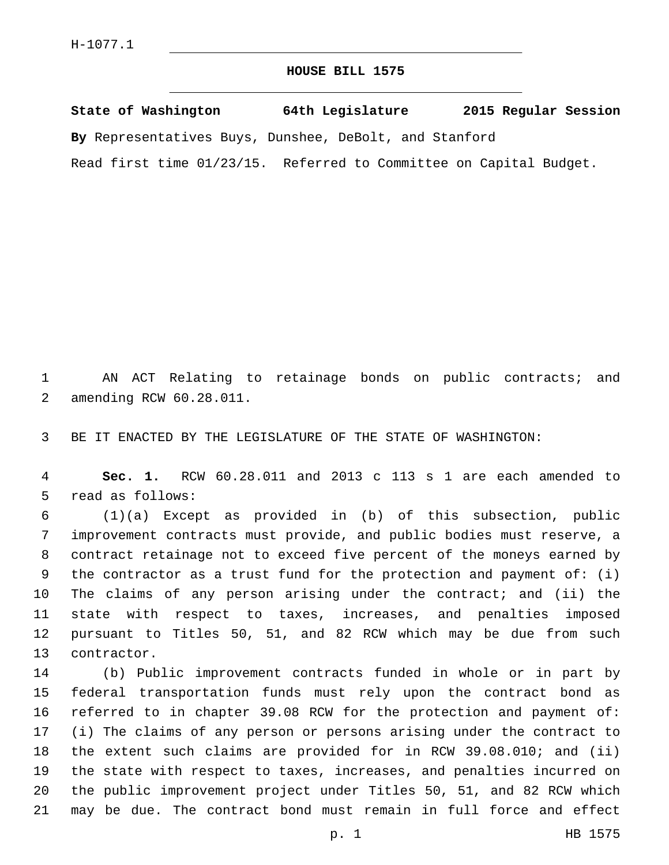## **HOUSE BILL 1575**

**State of Washington 64th Legislature 2015 Regular Session By** Representatives Buys, Dunshee, DeBolt, and Stanford Read first time 01/23/15. Referred to Committee on Capital Budget.

 AN ACT Relating to retainage bonds on public contracts; and 2 amending RCW 60.28.011.

BE IT ENACTED BY THE LEGISLATURE OF THE STATE OF WASHINGTON:

 **Sec. 1.** RCW 60.28.011 and 2013 c 113 s 1 are each amended to 5 read as follows:

 (1)(a) Except as provided in (b) of this subsection, public improvement contracts must provide, and public bodies must reserve, a contract retainage not to exceed five percent of the moneys earned by the contractor as a trust fund for the protection and payment of: (i) The claims of any person arising under the contract; and (ii) the state with respect to taxes, increases, and penalties imposed pursuant to Titles 50, 51, and 82 RCW which may be due from such 13 contractor.

 (b) Public improvement contracts funded in whole or in part by federal transportation funds must rely upon the contract bond as referred to in chapter 39.08 RCW for the protection and payment of: (i) The claims of any person or persons arising under the contract to the extent such claims are provided for in RCW 39.08.010; and (ii) the state with respect to taxes, increases, and penalties incurred on the public improvement project under Titles 50, 51, and 82 RCW which may be due. The contract bond must remain in full force and effect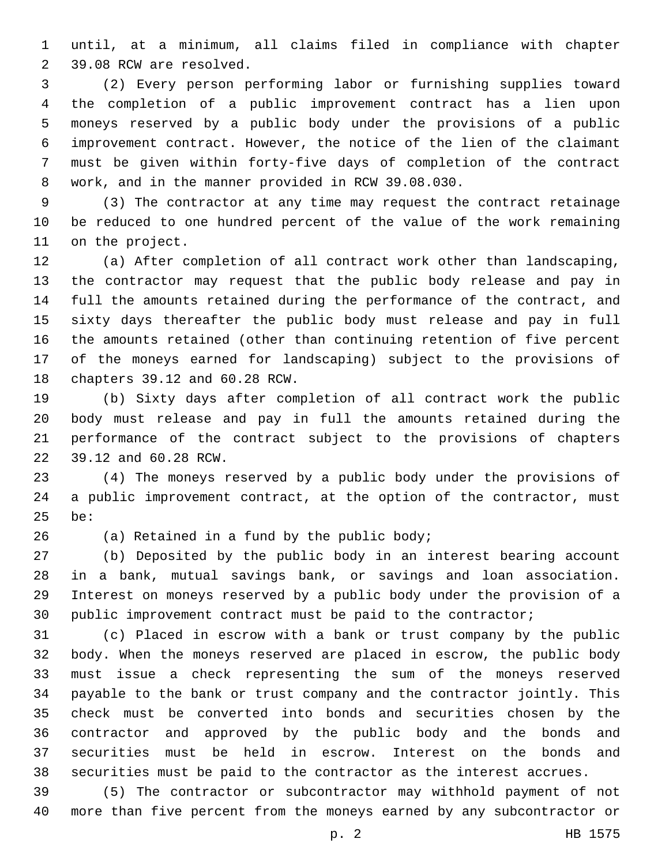until, at a minimum, all claims filed in compliance with chapter 2 39.08 RCW are resolved.

 (2) Every person performing labor or furnishing supplies toward the completion of a public improvement contract has a lien upon moneys reserved by a public body under the provisions of a public improvement contract. However, the notice of the lien of the claimant must be given within forty-five days of completion of the contract work, and in the manner provided in RCW 39.08.030.8

 (3) The contractor at any time may request the contract retainage be reduced to one hundred percent of the value of the work remaining 11 on the project.

 (a) After completion of all contract work other than landscaping, the contractor may request that the public body release and pay in full the amounts retained during the performance of the contract, and sixty days thereafter the public body must release and pay in full the amounts retained (other than continuing retention of five percent of the moneys earned for landscaping) subject to the provisions of 18 chapters 39.12 and 60.28 RCW.

 (b) Sixty days after completion of all contract work the public body must release and pay in full the amounts retained during the performance of the contract subject to the provisions of chapters 22 39.12 and 60.28 RCW.

 (4) The moneys reserved by a public body under the provisions of a public improvement contract, at the option of the contractor, must 25 be:

 $(26)$  (a) Retained in a fund by the public body;

 (b) Deposited by the public body in an interest bearing account in a bank, mutual savings bank, or savings and loan association. Interest on moneys reserved by a public body under the provision of a public improvement contract must be paid to the contractor;

 (c) Placed in escrow with a bank or trust company by the public body. When the moneys reserved are placed in escrow, the public body must issue a check representing the sum of the moneys reserved payable to the bank or trust company and the contractor jointly. This check must be converted into bonds and securities chosen by the contractor and approved by the public body and the bonds and securities must be held in escrow. Interest on the bonds and securities must be paid to the contractor as the interest accrues.

 (5) The contractor or subcontractor may withhold payment of not more than five percent from the moneys earned by any subcontractor or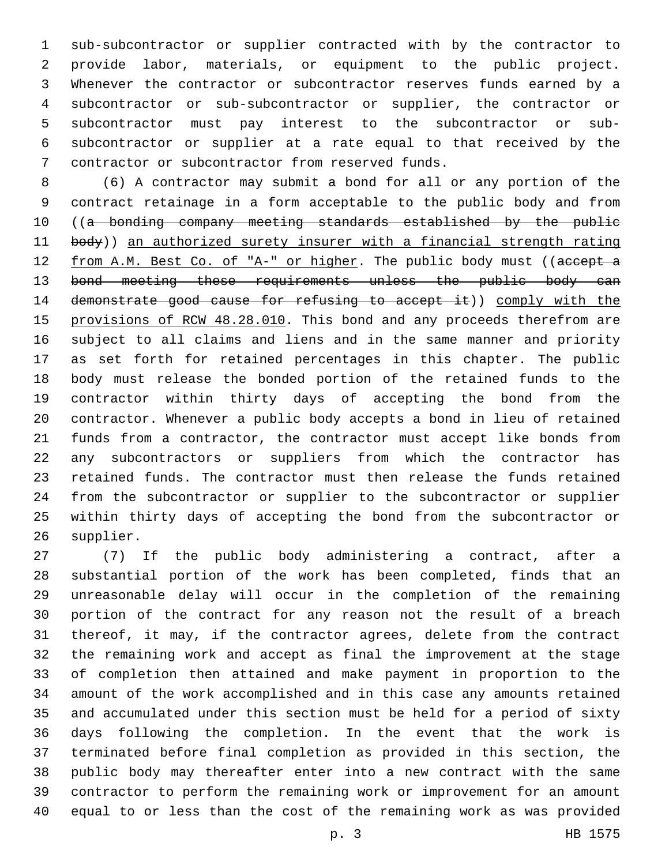sub-subcontractor or supplier contracted with by the contractor to provide labor, materials, or equipment to the public project. Whenever the contractor or subcontractor reserves funds earned by a subcontractor or sub-subcontractor or supplier, the contractor or subcontractor must pay interest to the subcontractor or sub- subcontractor or supplier at a rate equal to that received by the 7 contractor or subcontractor from reserved funds.

 (6) A contractor may submit a bond for all or any portion of the contract retainage in a form acceptable to the public body and from ((a bonding company meeting standards established by the public 11 body)) an authorized surety insurer with a financial strength rating 12 from A.M. Best Co. of "A-" or higher. The public body must ((accept a 13 bond meeting these requirements unless the public body can demonstrate good cause for refusing to accept it)) comply with the 15 provisions of RCW 48.28.010. This bond and any proceeds therefrom are subject to all claims and liens and in the same manner and priority as set forth for retained percentages in this chapter. The public body must release the bonded portion of the retained funds to the contractor within thirty days of accepting the bond from the contractor. Whenever a public body accepts a bond in lieu of retained funds from a contractor, the contractor must accept like bonds from any subcontractors or suppliers from which the contractor has retained funds. The contractor must then release the funds retained from the subcontractor or supplier to the subcontractor or supplier within thirty days of accepting the bond from the subcontractor or 26 supplier.

 (7) If the public body administering a contract, after a substantial portion of the work has been completed, finds that an unreasonable delay will occur in the completion of the remaining portion of the contract for any reason not the result of a breach thereof, it may, if the contractor agrees, delete from the contract the remaining work and accept as final the improvement at the stage of completion then attained and make payment in proportion to the amount of the work accomplished and in this case any amounts retained and accumulated under this section must be held for a period of sixty days following the completion. In the event that the work is terminated before final completion as provided in this section, the public body may thereafter enter into a new contract with the same contractor to perform the remaining work or improvement for an amount equal to or less than the cost of the remaining work as was provided

p. 3 HB 1575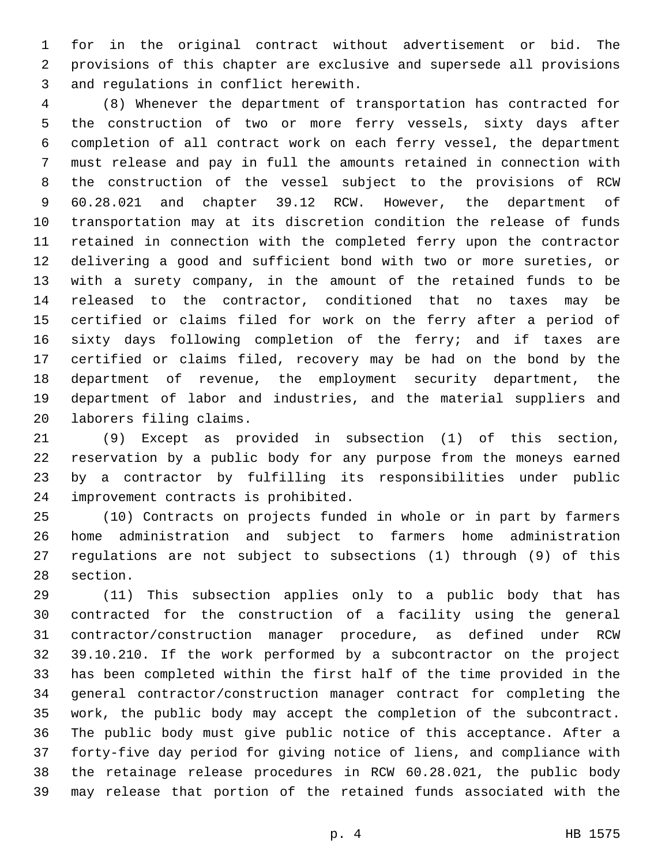for in the original contract without advertisement or bid. The provisions of this chapter are exclusive and supersede all provisions 3 and regulations in conflict herewith.

 (8) Whenever the department of transportation has contracted for the construction of two or more ferry vessels, sixty days after completion of all contract work on each ferry vessel, the department must release and pay in full the amounts retained in connection with the construction of the vessel subject to the provisions of RCW 60.28.021 and chapter 39.12 RCW. However, the department of transportation may at its discretion condition the release of funds retained in connection with the completed ferry upon the contractor delivering a good and sufficient bond with two or more sureties, or with a surety company, in the amount of the retained funds to be released to the contractor, conditioned that no taxes may be certified or claims filed for work on the ferry after a period of sixty days following completion of the ferry; and if taxes are certified or claims filed, recovery may be had on the bond by the department of revenue, the employment security department, the department of labor and industries, and the material suppliers and 20 laborers filing claims.

 (9) Except as provided in subsection (1) of this section, reservation by a public body for any purpose from the moneys earned by a contractor by fulfilling its responsibilities under public 24 improvement contracts is prohibited.

 (10) Contracts on projects funded in whole or in part by farmers home administration and subject to farmers home administration regulations are not subject to subsections (1) through (9) of this 28 section.

 (11) This subsection applies only to a public body that has contracted for the construction of a facility using the general contractor/construction manager procedure, as defined under RCW 39.10.210. If the work performed by a subcontractor on the project has been completed within the first half of the time provided in the general contractor/construction manager contract for completing the work, the public body may accept the completion of the subcontract. The public body must give public notice of this acceptance. After a forty-five day period for giving notice of liens, and compliance with the retainage release procedures in RCW 60.28.021, the public body may release that portion of the retained funds associated with the